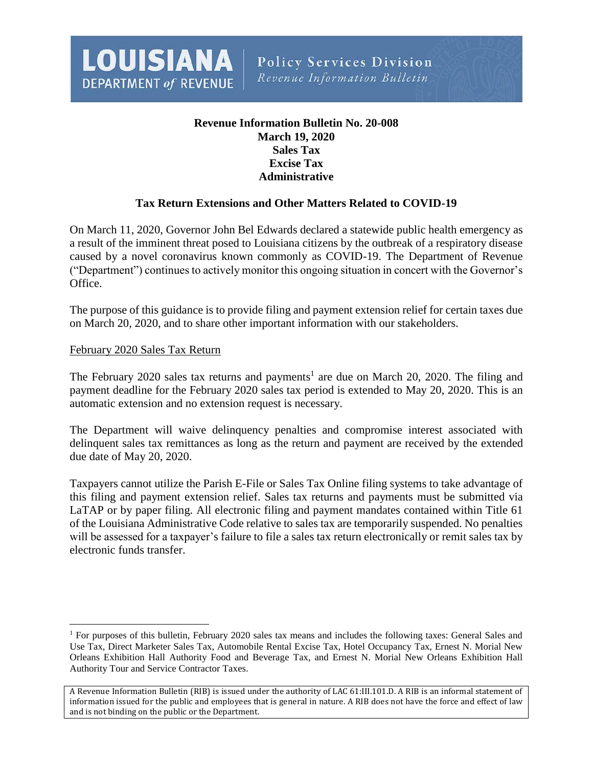

# **Revenue Information Bulletin No. 20-008 March 19, 2020 Sales Tax Excise Tax Administrative**

## **Tax Return Extensions and Other Matters Related to COVID-19**

On March 11, 2020, Governor John Bel Edwards declared a statewide public health emergency as a result of the imminent threat posed to Louisiana citizens by the outbreak of a respiratory disease caused by a novel coronavirus known commonly as COVID-19. The Department of Revenue ("Department") continues to actively monitor this ongoing situation in concert with the Governor's Office.

The purpose of this guidance is to provide filing and payment extension relief for certain taxes due on March 20, 2020, and to share other important information with our stakeholders.

#### February 2020 Sales Tax Return

l

The February 2020 sales tax returns and payments<sup>1</sup> are due on March 20, 2020. The filing and payment deadline for the February 2020 sales tax period is extended to May 20, 2020. This is an automatic extension and no extension request is necessary.

The Department will waive delinquency penalties and compromise interest associated with delinquent sales tax remittances as long as the return and payment are received by the extended due date of May 20, 2020.

Taxpayers cannot utilize the Parish E-File or Sales Tax Online filing systems to take advantage of this filing and payment extension relief. Sales tax returns and payments must be submitted via LaTAP or by paper filing. All electronic filing and payment mandates contained within Title 61 of the Louisiana Administrative Code relative to sales tax are temporarily suspended. No penalties will be assessed for a taxpayer's failure to file a sales tax return electronically or remit sales tax by electronic funds transfer.

<sup>1</sup> For purposes of this bulletin, February 2020 sales tax means and includes the following taxes: General Sales and Use Tax, Direct Marketer Sales Tax, Automobile Rental Excise Tax, Hotel Occupancy Tax, Ernest N. Morial New Orleans Exhibition Hall Authority Food and Beverage Tax, and Ernest N. Morial New Orleans Exhibition Hall Authority Tour and Service Contractor Taxes.

A Revenue Information Bulletin (RIB) is issued under the authority of LAC 61:III.101.D. A RIB is an informal statement of information issued for the public and employees that is general in nature. A RIB does not have the force and effect of law and is not binding on the public or the Department.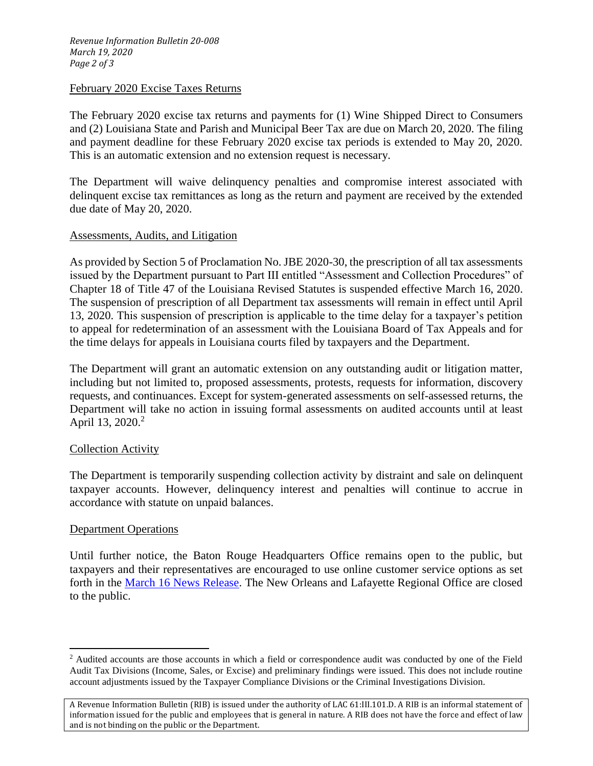#### February 2020 Excise Taxes Returns

The February 2020 excise tax returns and payments for (1) Wine Shipped Direct to Consumers and (2) Louisiana State and Parish and Municipal Beer Tax are due on March 20, 2020. The filing and payment deadline for these February 2020 excise tax periods is extended to May 20, 2020. This is an automatic extension and no extension request is necessary.

The Department will waive delinquency penalties and compromise interest associated with delinquent excise tax remittances as long as the return and payment are received by the extended due date of May 20, 2020.

## Assessments, Audits, and Litigation

As provided by Section 5 of Proclamation No. JBE 2020-30, the prescription of all tax assessments issued by the Department pursuant to Part III entitled "Assessment and Collection Procedures" of Chapter 18 of Title 47 of the Louisiana Revised Statutes is suspended effective March 16, 2020. The suspension of prescription of all Department tax assessments will remain in effect until April 13, 2020. This suspension of prescription is applicable to the time delay for a taxpayer's petition to appeal for redetermination of an assessment with the Louisiana Board of Tax Appeals and for the time delays for appeals in Louisiana courts filed by taxpayers and the Department.

The Department will grant an automatic extension on any outstanding audit or litigation matter, including but not limited to, proposed assessments, protests, requests for information, discovery requests, and continuances. Except for system-generated assessments on self-assessed returns, the Department will take no action in issuing formal assessments on audited accounts until at least April 13, 2020.<sup>2</sup>

## Collection Activity

The Department is temporarily suspending collection activity by distraint and sale on delinquent taxpayer accounts. However, delinquency interest and penalties will continue to accrue in accordance with statute on unpaid balances.

## Department Operations

 $\overline{\phantom{a}}$ 

Until further notice, the Baton Rouge Headquarters Office remains open to the public, but taxpayers and their representatives are encouraged to use online customer service options as set forth in the [March 16 News Release.](https://revenue.louisiana.gov/NewsAndPublications/NewsReleaseDetails/11482) The New Orleans and Lafayette Regional Office are closed to the public.

<sup>&</sup>lt;sup>2</sup> Audited accounts are those accounts in which a field or correspondence audit was conducted by one of the Field Audit Tax Divisions (Income, Sales, or Excise) and preliminary findings were issued. This does not include routine account adjustments issued by the Taxpayer Compliance Divisions or the Criminal Investigations Division.

A Revenue Information Bulletin (RIB) is issued under the authority of LAC 61:III.101.D. A RIB is an informal statement of information issued for the public and employees that is general in nature. A RIB does not have the force and effect of law and is not binding on the public or the Department.